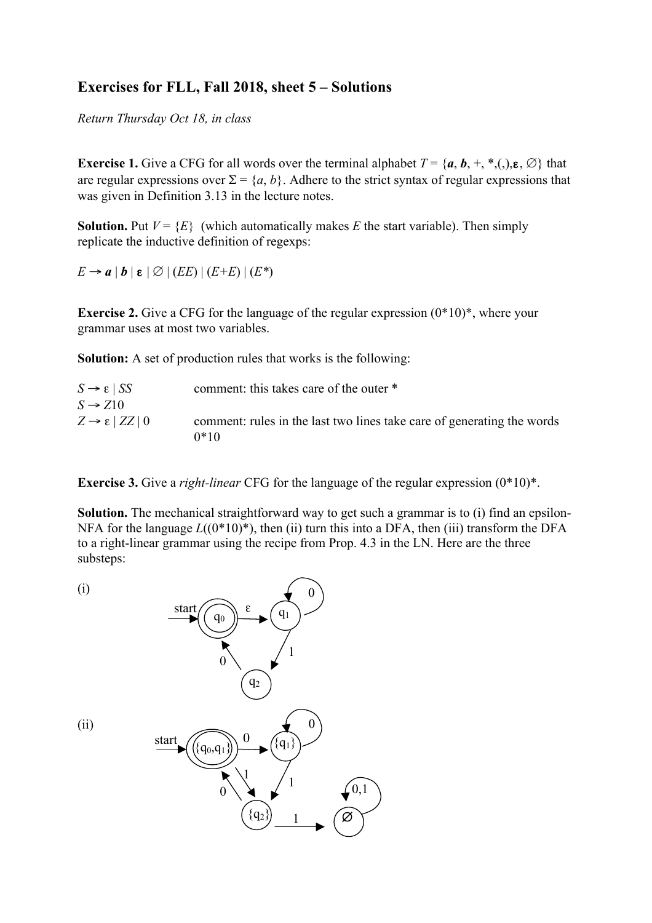## **Exercises for FLL, Fall 2018, sheet 5 – Solutions**

*Return Thursday Oct 18, in class*

**Exercise 1.** Give a CFG for all words over the terminal alphabet  $T = \{a, b, +, *, (.) , \varepsilon, \emptyset\}$  that are regular expressions over  $\Sigma = \{a, b\}$ . Adhere to the strict syntax of regular expressions that was given in Definition 3.13 in the lecture notes.

**Solution.** Put  $V = \{E\}$  (which automatically makes *E* the start variable). Then simply replicate the inductive definition of regexps:

 $E \rightarrow a \mid b \mid \varepsilon \mid \varnothing \mid (EE) \mid (E+E) \mid (E^*)$ 

**Exercise 2.** Give a CFG for the language of the regular expression  $(0^*10)^*$ , where your grammar uses at most two variables.

**Solution:** A set of production rules that works is the following:

| $S \rightarrow \varepsilon$   SS     | comment: this takes care of the outer *                                |
|--------------------------------------|------------------------------------------------------------------------|
| $S \rightarrow Z10$                  |                                                                        |
| $Z \rightarrow \varepsilon$   ZZ   0 | comment: rules in the last two lines take care of generating the words |
|                                      | $0*10$                                                                 |

**Exercise 3.** Give a *right-linear* CFG for the language of the regular expression (0\*10)\*.

**Solution.** The mechanical straightforward way to get such a grammar is to (i) find an epsilon-NFA for the language  $L((0*10)*)$ , then (ii) turn this into a DFA, then (iii) transform the DFA to a right-linear grammar using the recipe from Prop. 4.3 in the LN. Here are the three substeps: